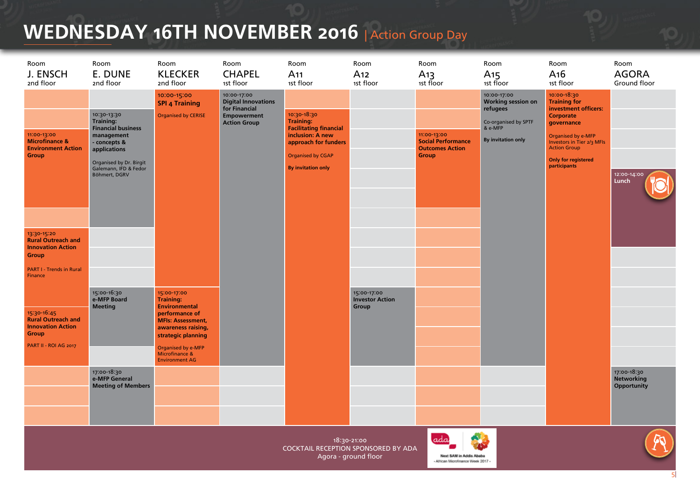## **WEDNESDAY 16TH NOVEMBER 2016** | Action Group Day

| Room<br>J. ENSCH<br>2nd floor                                                                                               | Room<br>E. DUNE<br>2nd floor                                                                                                                                                    | Room<br><b>KLECKER</b><br>2nd floor                                                                                                                                                                                | Room<br><b>CHAPEL</b><br>1st floor                                                                      | Room<br>A <sub>11</sub><br>1st floor                                                                                                                                  | Room<br>A <sub>12</sub><br>1st floor                                       | Room<br>A <sub>13</sub><br>1st floor                                        | Room<br>A <sub>15</sub><br>1st floor                                                                          | Room<br>A <sub>16</sub><br>1st floor                                                                                                                                                                                  | Room<br><b>AGORA</b><br>Ground floor     |
|-----------------------------------------------------------------------------------------------------------------------------|---------------------------------------------------------------------------------------------------------------------------------------------------------------------------------|--------------------------------------------------------------------------------------------------------------------------------------------------------------------------------------------------------------------|---------------------------------------------------------------------------------------------------------|-----------------------------------------------------------------------------------------------------------------------------------------------------------------------|----------------------------------------------------------------------------|-----------------------------------------------------------------------------|---------------------------------------------------------------------------------------------------------------|-----------------------------------------------------------------------------------------------------------------------------------------------------------------------------------------------------------------------|------------------------------------------|
| 11:00-13:00<br><b>Microfinance &amp;</b><br><b>Environment Action</b><br><b>Group</b>                                       | 10:30-13:30<br><b>Training:</b><br><b>Financial business</b><br>management<br>- concepts &<br>applications<br>Organised by Dr. Birgit<br>Galemann, IFD & Fedor<br>Böhmert, DGRV | 10:00-15:00<br><b>SPI 4 Training</b><br><b>Organised by CERISE</b>                                                                                                                                                 | 10:00-17:00<br><b>Digital Innovations</b><br>for Financial<br><b>Empowerment</b><br><b>Action Group</b> | 10:30-18:30<br><b>Training:</b><br><b>Facilitating financial</b><br>inclusion: A new<br>approach for funders<br><b>Organised by CGAP</b><br><b>By invitation only</b> |                                                                            | 11:00-13:00<br><b>Social Performance</b><br><b>Outcomes Action</b><br>Group | 10:00-17:00<br>Working session on<br>refugees<br>Co-organised by SPTF<br>& e-MFP<br><b>By invitation only</b> | 10:00-18:30<br><b>Training for</b><br>investment officers:<br>Corporate<br>governance<br>Organised by e-MFP<br><b>Investors in Tier 2/3 MFIs</b><br><b>Action Group</b><br><b>Only for registered</b><br>participants | 12:00-14:00<br>Lunch                     |
| 13:30-15:20<br><b>Rural Outreach and</b><br><b>Innovation Action</b><br>Group<br><b>PART I - Trends in Rural</b><br>Finance |                                                                                                                                                                                 |                                                                                                                                                                                                                    |                                                                                                         |                                                                                                                                                                       |                                                                            |                                                                             |                                                                                                               |                                                                                                                                                                                                                       |                                          |
| 15:30-16:45<br><b>Rural Outreach and</b><br><b>Innovation Action</b><br>Group<br>PART II - ROI AG 2017                      | 15:00-16:30<br>e-MFP Board<br><b>Meeting</b>                                                                                                                                    | 15:00-17:00<br><b>Training:</b><br><b>Environmental</b><br>performance of<br><b>MFIs: Assessment,</b><br>awareness raising,<br>strategic planning<br>Organised by e-MFP<br>Microfinance &<br><b>Environment AG</b> |                                                                                                         |                                                                                                                                                                       | 15:00-17:00<br><b>Investor Action</b><br>Group                             |                                                                             |                                                                                                               |                                                                                                                                                                                                                       |                                          |
|                                                                                                                             | 17:00-18:30<br>e-MFP General<br><b>Meeting of Members</b>                                                                                                                       |                                                                                                                                                                                                                    |                                                                                                         |                                                                                                                                                                       |                                                                            |                                                                             |                                                                                                               |                                                                                                                                                                                                                       | 17:00-18:30<br>Networking<br>Opportunity |
|                                                                                                                             |                                                                                                                                                                                 |                                                                                                                                                                                                                    |                                                                                                         |                                                                                                                                                                       | 18:30-21:00<br>COCKTAIL RECEPTION SPONSORED BY ADA<br>Agora - ground floor | adı<br>Next SAM in Addis Ababa<br>- African Microfinance Week 2017 -        |                                                                                                               |                                                                                                                                                                                                                       |                                          |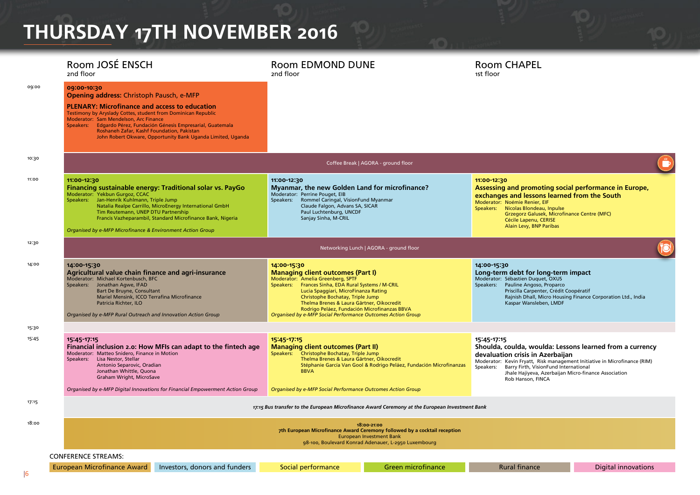# **THURSDAY 17TH NOVEMBER 2016**

|       | Room JOSÉ ENSCH<br>2nd floor                                                                                                                                                                                                                                                                                                                                                                                | <b>Room EDMOND DUNE</b><br>2nd floor                                                                                                                                                                                                                                                                                                                                                        |                                                                                                                                                                                     | <b>Room CHAPEL</b><br>1st floor                                                                                                                                                                                                                                                                                             |                            |  |  |  |  |
|-------|-------------------------------------------------------------------------------------------------------------------------------------------------------------------------------------------------------------------------------------------------------------------------------------------------------------------------------------------------------------------------------------------------------------|---------------------------------------------------------------------------------------------------------------------------------------------------------------------------------------------------------------------------------------------------------------------------------------------------------------------------------------------------------------------------------------------|-------------------------------------------------------------------------------------------------------------------------------------------------------------------------------------|-----------------------------------------------------------------------------------------------------------------------------------------------------------------------------------------------------------------------------------------------------------------------------------------------------------------------------|----------------------------|--|--|--|--|
| 09:00 | 09:00-10:30<br>Opening address: Christoph Pausch, e-MFP<br><b>PLENARY: Microfinance and access to education</b><br>Testimony by Aryslady Cottes, student from Dominican Republic<br>Moderator: Sam Mendelson, Arc Finance<br>Speakers: Edgardo Pérez, Fundación Génesis Empresarial, Guatemala<br>Roshaneh Zafar, Kashf Foundation, Pakistan<br>John Robert Okware, Opportunity Bank Uganda Limited, Uganda |                                                                                                                                                                                                                                                                                                                                                                                             |                                                                                                                                                                                     |                                                                                                                                                                                                                                                                                                                             |                            |  |  |  |  |
| 10:30 | Coffee Break   AGORA - ground floor                                                                                                                                                                                                                                                                                                                                                                         |                                                                                                                                                                                                                                                                                                                                                                                             |                                                                                                                                                                                     |                                                                                                                                                                                                                                                                                                                             |                            |  |  |  |  |
| 11:00 | 11:00-12:30<br>Financing sustainable energy: Traditional solar vs. PayGo<br>Moderator: Yekbun Gurgoz, CCAC<br>Speakers: Jan-Henrik Kuhlmann, Triple Jump<br>Natalia Realpe Carrillo, MicroEnergy International GmbH<br>Tim Reutemann, UNEP DTU Partnership<br>Francis Vazheparambil, Standard Microfinance Bank, Nigeria<br>Organised by e-MFP Microfinance & Environment Action Group                      | 11:00-12:30<br>Myanmar, the new Golden Land for microfinance?<br>Moderator: Perrine Pouget, EIB<br>Speakers: Rommel Caringal, VisionFund Myanmar<br>Claude Falgon, Advans SA, SICAR<br>Paul Luchtenburg, UNCDF<br>Sanjay Sinha, M-CRIL                                                                                                                                                      |                                                                                                                                                                                     | 11:00-12:30<br>Assessing and promoting social performance in Europe,<br>exchanges and lessons learned from the South<br>Moderator: Noémie Renier, EIF<br>Nicolas Blondeau, Inpulse<br>Speakers:<br>Grzegorz Galusek, Microfinance Centre (MFC)<br>Cécile Lapenu, CERISE<br>Alain Levy, BNP Paribas                          |                            |  |  |  |  |
| 12:30 | Networking Lunch   AGORA - ground floor                                                                                                                                                                                                                                                                                                                                                                     |                                                                                                                                                                                                                                                                                                                                                                                             |                                                                                                                                                                                     |                                                                                                                                                                                                                                                                                                                             |                            |  |  |  |  |
| 14:00 | 14:00-15:30<br>Agricultural value chain finance and agri-insurance<br>Moderator: Michael Kortenbusch, BFC<br>Speakers: Jonathan Agwe, IFAD<br>Bart De Bruyne, Consultant<br>Mariel Mensink, ICCO Terrafina Microfinance<br>Patricia Richter, ILO<br>Organised by e-MFP Rural Outreach and Innovation Action Group                                                                                           | 14:00-15:30<br><b>Managing client outcomes (Part I)</b><br>Moderator: Amelia Greenberg, SPTF<br>Speakers: Frances Sinha, EDA Rural Systems / M-CRIL<br>Lucia Spaggiari, MicroFinanza Rating<br>Christophe Bochatay, Triple Jump<br>Thelma Brenes & Laura Gärtner, Oikocredit<br>Rodrigo Peláez, Fundación Microfinanzas BBVA<br>Organised by e-MFP Social Performance Outcomes Action Group |                                                                                                                                                                                     | 14:00-15:30<br>Long-term debt for long-term impact<br>Moderator: Sébastien Duquet, OXUS<br>Speakers: Pauline Angoso, Proparco<br>Priscilla Carpenter, Crédit Coopératif<br>Rajnish Dhall, Micro Housing Finance Corporation Ltd., India<br>Kaspar Wansleben, LMDF                                                           |                            |  |  |  |  |
| 15:30 |                                                                                                                                                                                                                                                                                                                                                                                                             |                                                                                                                                                                                                                                                                                                                                                                                             |                                                                                                                                                                                     |                                                                                                                                                                                                                                                                                                                             |                            |  |  |  |  |
| 15:45 | 15:45-17:15<br>Financial inclusion 2.0: How MFIs can adapt to the fintech age<br>Moderator: Matteo Snidero, Finance in Motion<br>Speakers: Lisa Nestor, Stellar<br>Antonio Separovic, Oradian<br>Jonathan Whittle, Quona<br>Graham Wright, MicroSave                                                                                                                                                        | 15:45-17:15<br><b>Managing client outcomes (Part II)</b><br>Speakers: Christophe Bochatay, Triple Jump<br>Thelma Brenes & Laura Gärtner, Oikocredit<br><b>BBVA</b>                                                                                                                                                                                                                          | Stéphanie García Van Gool & Rodrigo Peláez, Fundación Microfinanzas                                                                                                                 | 15:45-17:15<br>Shoulda, coulda, woulda: Lessons learned from a currency<br>devaluation crisis in Azerbaijan<br>Moderator: Kevin Fryatt, Risk management Initiative in Microfinance (RIM)<br>Barry Firth, VisionFund International<br>Speakers:<br>Jhale Hajiyeva, Azerbaijan Micro-finance Association<br>Rob Hanson, FINCA |                            |  |  |  |  |
|       | Organised by e-MFP Digital Innovations for Financial Empowerment Action Group                                                                                                                                                                                                                                                                                                                               | Organised by e-MFP Social Performance Outcomes Action Group                                                                                                                                                                                                                                                                                                                                 |                                                                                                                                                                                     |                                                                                                                                                                                                                                                                                                                             |                            |  |  |  |  |
| 17:15 |                                                                                                                                                                                                                                                                                                                                                                                                             |                                                                                                                                                                                                                                                                                                                                                                                             | 17:15 Bus transfer to the European Microfinance Award Ceremony at the European Investment Bank                                                                                      |                                                                                                                                                                                                                                                                                                                             |                            |  |  |  |  |
| 18:00 |                                                                                                                                                                                                                                                                                                                                                                                                             |                                                                                                                                                                                                                                                                                                                                                                                             | 18:00-21:00<br>7th European Microfinance Award Ceremony followed by a cocktail reception<br><b>European Investment Bank</b><br>98-100, Boulevard Konrad Adenauer, L-2950 Luxembourg |                                                                                                                                                                                                                                                                                                                             |                            |  |  |  |  |
|       | <b>CONFERENCE STREAMS:</b>                                                                                                                                                                                                                                                                                                                                                                                  |                                                                                                                                                                                                                                                                                                                                                                                             |                                                                                                                                                                                     |                                                                                                                                                                                                                                                                                                                             |                            |  |  |  |  |
|       | European Microfinance Award<br>Investors, donors and funders                                                                                                                                                                                                                                                                                                                                                | Social performance                                                                                                                                                                                                                                                                                                                                                                          | Green microfinance                                                                                                                                                                  | <b>Rural finance</b>                                                                                                                                                                                                                                                                                                        | <b>Digital innovations</b> |  |  |  |  |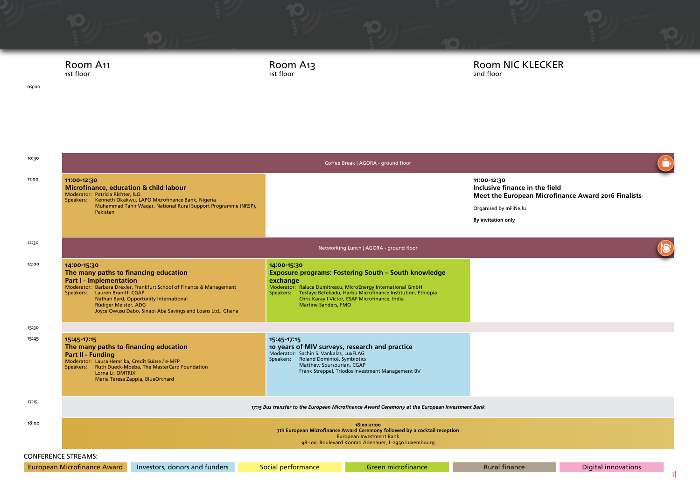

09:00

### Room A13 1st floor

### Room NIC KLECKER 2nd floor

| 10:30                      |                                                                                                                                                                                                                                                                                                                                  |                                                                                                                                                                               |                                                                                                                                                                                                                                                       |                                                                                                      |                     |                |  |  |
|----------------------------|----------------------------------------------------------------------------------------------------------------------------------------------------------------------------------------------------------------------------------------------------------------------------------------------------------------------------------|-------------------------------------------------------------------------------------------------------------------------------------------------------------------------------|-------------------------------------------------------------------------------------------------------------------------------------------------------------------------------------------------------------------------------------------------------|------------------------------------------------------------------------------------------------------|---------------------|----------------|--|--|
| 11:00                      | 11:00-12:30<br><b>Microfinance, education &amp; child labour</b><br>Moderator: Patricia Richter, ILO<br>Speakers: Kenneth Okakwu, LAPO Microfinance Bank, Nigeria                                                                                                                                                                |                                                                                                                                                                               |                                                                                                                                                                                                                                                       | 11:00-12:30<br>Inclusive finance in the field<br>Meet the European Microfinance Award 2016 Finalists |                     |                |  |  |
|                            | Muhammad Tahir Waqar, National Rural Support Programme (NRSP),<br>Pakistan                                                                                                                                                                                                                                                       |                                                                                                                                                                               |                                                                                                                                                                                                                                                       | Organised by InFiNe.lu                                                                               |                     |                |  |  |
|                            |                                                                                                                                                                                                                                                                                                                                  |                                                                                                                                                                               |                                                                                                                                                                                                                                                       | By invitation only                                                                                   |                     |                |  |  |
|                            |                                                                                                                                                                                                                                                                                                                                  |                                                                                                                                                                               |                                                                                                                                                                                                                                                       |                                                                                                      |                     |                |  |  |
| 12:30                      |                                                                                                                                                                                                                                                                                                                                  |                                                                                                                                                                               |                                                                                                                                                                                                                                                       |                                                                                                      |                     |                |  |  |
| 14:00                      | 14:00-15:30<br>The many paths to financing education<br><b>Part I - Implementation</b><br>Moderator: Barbara Drexler, Frankfurt School of Finance & Management<br>Speakers: Lauren Braniff, CGAP<br>Nathan Byrd, Opportunity International<br>Rüdiger Meister, ADG<br>Joyce Owusu Dabo, Sinapi Aba Savings and Loans Ltd., Ghana | 14:00-15:30<br>exchange<br><b>Martine Sanders, FMO</b>                                                                                                                        | <b>Exposure programs: Fostering South - South knowledge</b><br>Moderator: Raluca Dumitrescu, MicroEnergy International GmbH<br>Speakers: Tesfaye Befekadu, Harbu Microfinance Institution, Ethiopia<br>Chris Karayil Victor, ESAF Microfinance, India |                                                                                                      |                     |                |  |  |
| 15:30                      |                                                                                                                                                                                                                                                                                                                                  |                                                                                                                                                                               |                                                                                                                                                                                                                                                       |                                                                                                      |                     |                |  |  |
| 15:45                      | 15:45-17:15<br>The many paths to financing education<br>Part II - Funding<br>Moderator: Laura Hemrika, Credit Suisse / e-MFP<br>Speakers: Ruth Dueck-Mbeba, The MasterCard Foundation<br>Lorna Li, OMTRIX<br>Maria Teresa Zappia, BlueOrchard                                                                                    | 15:45-17:15<br>10 years of MIV surveys, research and practice<br>Moderator: Sachin S. Vankalas, LuxFLAG<br>Speakers: Roland Dominicé, Symbiotics<br>Matthew Soursourian, CGAP | Frank Streppel, Triodos Investment Management BV                                                                                                                                                                                                      |                                                                                                      |                     |                |  |  |
| 17:15                      | 17:15 Bus transfer to the European Microfinance Award Ceremony at the European Investment Bank                                                                                                                                                                                                                                   |                                                                                                                                                                               |                                                                                                                                                                                                                                                       |                                                                                                      |                     |                |  |  |
| 18:00                      | 18:00-21:00<br>7th European Microfinance Award Ceremony followed by a cocktail reception<br><b>European Investment Bank</b><br>98-100, Boulevard Konrad Adenauer, L-2950 Luxembourg                                                                                                                                              |                                                                                                                                                                               |                                                                                                                                                                                                                                                       |                                                                                                      |                     |                |  |  |
| <b>CONFERENCE STREAMS:</b> |                                                                                                                                                                                                                                                                                                                                  |                                                                                                                                                                               |                                                                                                                                                                                                                                                       |                                                                                                      |                     |                |  |  |
|                            | Investors, donors and funders<br><b>European Microfinance Award</b>                                                                                                                                                                                                                                                              | Social performance                                                                                                                                                            | <b>Green microfinance</b>                                                                                                                                                                                                                             | <b>Rural finance</b>                                                                                 | Digital innovations | $\overline{7}$ |  |  |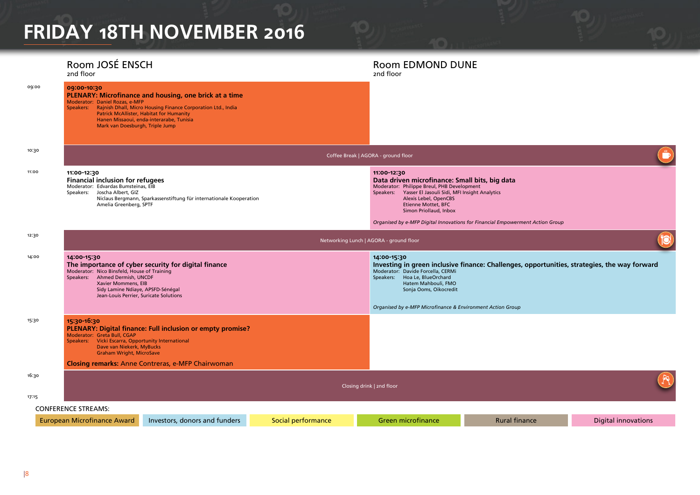## **FRIDAY 18TH NOVEMBER 2016**

#### Room JOSÉ ENSCH 2nd floor Room EDMOND DUNE 2nd floor 09:00 **09:00-10:30 PLENARY: Microfinance and housing, one brick at a time** Moderator: Daniel Rozas, e-MFP Speakers: Rajnish Dhall, Micro Housing Finance Corporation Ltd., India Patrick McAllister, Habitat for Humanity Hanen Missaoui, enda-interarabe, Tunisia Mark van Doesburgh, Triple Jump 10:30 Coffee Break | AGORA - ground floor 11:00 **11:00-12:30 Financial inclusion for refugees** Moderator: Edvardas Bumsteinas, EIB Speakers: Joscha Albert, GIZ Niclaus Bergmann, Sparkassenstiftung für internationale Kooperation Amelia Greenberg, SPTF **11:00-12:30 Data driven microfinance: Small bits, big data** Moderator: Philippe Breul, PHB Development Speakers: Yasser El Jasouli Sidi, MFI Insight Analytics Alexis Lebel, OpenCBS Etienne Mottet, BFC Simon Priollaud, Inbox *Organised by e-MFP Digital Innovations for Financial Empowerment Action Group* 12:30 Networking Lunch | AGORA - ground floor 14:00 **14:00-15:30 The importance of cyber security for digital finance** Moderator: Nico Binsfeld, House of Training Speakers: Ahmed Dermish, UNCDF Xavier Mommens, EIB Sidy Lamine Ndiaye, APSFD-Sénégal Jean-Louis Perrier, Suricate Solutions **14:00-15:30 Investing in green inclusive finance: Challenges, opportunities, strategies, the way forward** Moderator: Davide Forcella, CERMi Speakers: Hoa Le, BlueOrchard Hatem Mahbouli, FMO Sonja Ooms, Oikocredit *Organised by e-MFP Microfinance & Environment Action Group* 15:30 **15:30-16:30 PLENARY: Digital finance: Full inclusion or empty promise?** Moderator: Greta Bull, CGAP Speakers: Vicki Escarra, Opportunity International Dave van Niekerk, MyBucks Graham Wright, MicroSave **Closing remarks:** Anne Contreras, e-MFP Chairwoman 16:30 Closing drink | 2nd floor 17:15 CONFERENCE STREAMS: European Microfinance Award Investors, donors and funders Social performance Green microfinance Rural finance Digital innovations